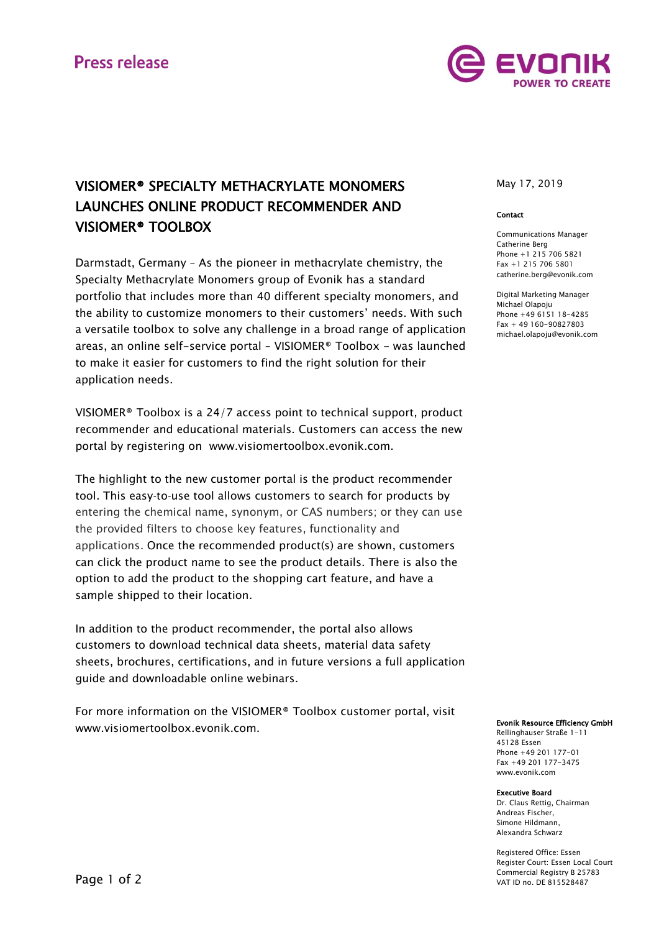

# VISIOMER® SPECIALTY METHACRYLATE MONOMERS LAUNCHES ONLINE PRODUCT RECOMMENDER AND VISIOMER® TOOLBOX

Darmstadt, Germany – As the pioneer in methacrylate chemistry, the Specialty Methacrylate Monomers group of Evonik has a standard portfolio that includes more than 40 different specialty monomers, and the ability to customize monomers to their customers' needs. With such a versatile toolbox to solve any challenge in a broad range of application areas, an online self-service portal – VISIOMER® Toolbox - was launched to make it easier for customers to find the right solution for their application needs.

VISIOMER® Toolbox is a 24/7 access point to technical support, product recommender and educational materials. Customers can access the new portal by registering on [www.visiomertoolbox.evonik.com.](http://www.visiomertoolbox.evonik.com/)

The highlight to the new customer portal is the product recommender tool. This easy-to-use tool allows customers to search for products by entering the chemical name, synonym, or CAS numbers; or they can use the provided filters to choose key features, functionality and applications. Once the recommended product(s) are shown, customers can click the product name to see the product details. There is also the option to add the product to the shopping cart feature, and have a sample shipped to their location.

In addition to the product recommender, the portal also allows customers to download technical data sheets, material data safety sheets, brochures, certifications, and in future versions a full application guide and downloadable online webinars.

For more information on the VISIOMER® Toolbox customer portal, visit [www.visiomertoolbox.evonik.com.](http://www.visiomertoolbox.evonik.com/)

May 17, 2019

### Contact

Communications Manager Catherine Berg Phone +1 215 706 5821 Fax +1 215 706 5801 [catherine.berg@evonik.com](mailto:catherine.berg@evonik.com)

Digital Marketing Manager Michael Olapoju Phone +49 6151 18-4285  $Fay + 49160 - 90827803$ [michael.olapoju@evonik.com](mailto:michael.olapoju@evonik.com)

#### Evonik Resource Efficiency GmbH

Rellinghauser Straße 1-11 45128 Essen Phone +49 201 177-01  $Fay + 49.201177 - 3475$ [www.evonik.c](http://www.evonik./)om

## Executive Board

Dr. Claus Rettig, Chairman Andreas Fischer, Simone Hildmann, Alexandra Schwarz

Registered Office: Essen Register Court: Essen Local Court Commercial Registry B 25783 VAT ID no. DE 815528487